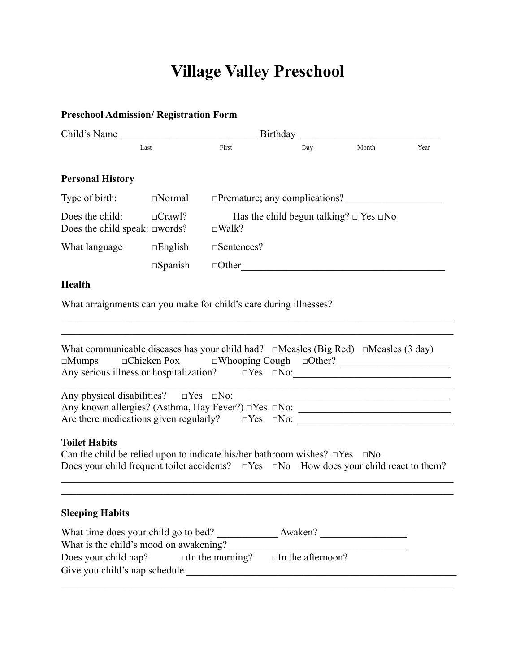## **Village Valley Preschool**

**Preschool Admission/ Registration Form**

| Child's Name                                                                                                                                                                                                               | Birthday          |                        |                                                   |       |      |
|----------------------------------------------------------------------------------------------------------------------------------------------------------------------------------------------------------------------------|-------------------|------------------------|---------------------------------------------------|-------|------|
| Last                                                                                                                                                                                                                       |                   | First                  | Day                                               | Month | Year |
| <b>Personal History</b>                                                                                                                                                                                                    |                   |                        |                                                   |       |      |
| Type of birth:                                                                                                                                                                                                             | $\Box$ Normal     |                        | $\Box$ Premature; any complications?              |       |      |
| Does the child:<br>Does the child speak: $\square$ words?                                                                                                                                                                  | $\Box$ Crawl?     | $\square$ Walk?        | Has the child begun talking? $\Box$ Yes $\Box$ No |       |      |
| What language                                                                                                                                                                                                              | $\Box$ English    | $\square$ Sentences?   |                                                   |       |      |
|                                                                                                                                                                                                                            | $\square$ Spanish |                        | $\Box$ Other                                      |       |      |
| Health                                                                                                                                                                                                                     |                   |                        |                                                   |       |      |
| What arraignments can you make for child's care during illnesses?                                                                                                                                                          |                   |                        |                                                   |       |      |
|                                                                                                                                                                                                                            |                   |                        |                                                   |       |      |
| What communicable diseases has your child had? $\Box$ Measles (Big Red) $\Box$ Measles (3 day)<br>$\square$ Mumps                                                                                                          |                   |                        |                                                   |       |      |
| Are there medications given regularly? $\square$ Yes $\square$ No: $\square$                                                                                                                                               |                   |                        |                                                   |       |      |
| <b>Toilet Habits</b><br>Can the child be relied upon to indicate his/her bathroom wishes? $\square$ Yes $\square$ No<br>Does your child frequent toilet accidents? $\Box$ Yes $\Box$ No How does your child react to them? |                   |                        |                                                   |       |      |
| <b>Sleeping Habits</b>                                                                                                                                                                                                     |                   |                        |                                                   |       |      |
| What time does your child go to bed? Awaken?                                                                                                                                                                               |                   |                        |                                                   |       |      |
| What is the child's mood on awakening?<br>Does your child nap?                                                                                                                                                             |                   | $\Box$ In the morning? | $\Box$ In the afternoon?                          |       |      |

Give you child's nap schedule